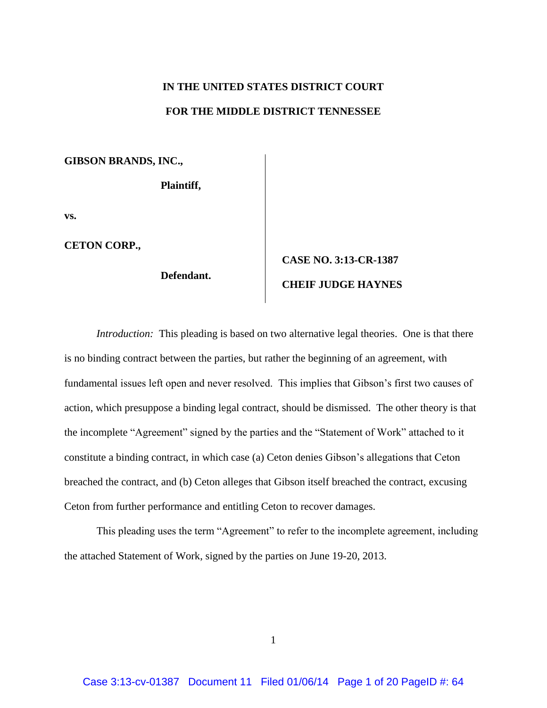# **IN THE UNITED STATES DISTRICT COURT FOR THE MIDDLE DISTRICT TENNESSEE**

**GIBSON BRANDS, INC.,**

**Plaintiff,**

**vs.**

**CETON CORP.,**

**Defendant.**

# **CASE NO. 3:13-CR-1387 CHEIF JUDGE HAYNES**

*Introduction:* This pleading is based on two alternative legal theories. One is that there is no binding contract between the parties, but rather the beginning of an agreement, with fundamental issues left open and never resolved. This implies that Gibson's first two causes of action, which presuppose a binding legal contract, should be dismissed. The other theory is that the incomplete "Agreement" signed by the parties and the "Statement of Work" attached to it constitute a binding contract, in which case (a) Ceton denies Gibson's allegations that Ceton breached the contract, and (b) Ceton alleges that Gibson itself breached the contract, excusing Ceton from further performance and entitling Ceton to recover damages.

This pleading uses the term "Agreement" to refer to the incomplete agreement, including the attached Statement of Work, signed by the parties on June 19-20, 2013.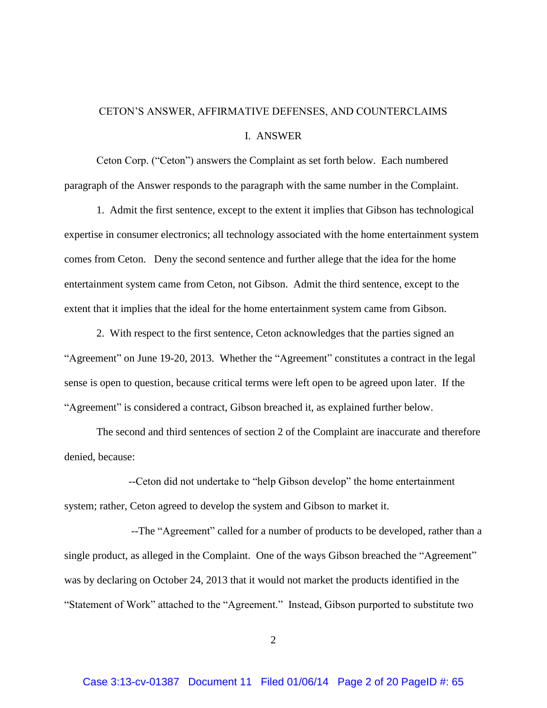## CETON'S ANSWER, AFFIRMATIVE DEFENSES, AND COUNTERCLAIMS I. ANSWER

Ceton Corp. ("Ceton") answers the Complaint as set forth below. Each numbered paragraph of the Answer responds to the paragraph with the same number in the Complaint.

1. Admit the first sentence, except to the extent it implies that Gibson has technological expertise in consumer electronics; all technology associated with the home entertainment system comes from Ceton. Deny the second sentence and further allege that the idea for the home entertainment system came from Ceton, not Gibson. Admit the third sentence, except to the extent that it implies that the ideal for the home entertainment system came from Gibson.

2. With respect to the first sentence, Ceton acknowledges that the parties signed an "Agreement" on June 19-20, 2013. Whether the "Agreement" constitutes a contract in the legal sense is open to question, because critical terms were left open to be agreed upon later. If the "Agreement" is considered a contract, Gibson breached it, as explained further below.

The second and third sentences of section 2 of the Complaint are inaccurate and therefore denied, because:

--Ceton did not undertake to "help Gibson develop" the home entertainment system; rather, Ceton agreed to develop the system and Gibson to market it.

--The "Agreement" called for a number of products to be developed, rather than a single product, as alleged in the Complaint. One of the ways Gibson breached the "Agreement" was by declaring on October 24, 2013 that it would not market the products identified in the "Statement of Work" attached to the "Agreement." Instead, Gibson purported to substitute two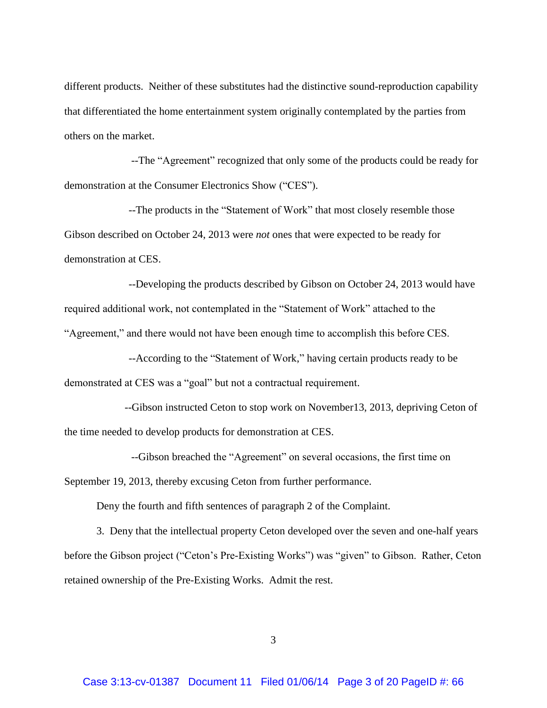different products. Neither of these substitutes had the distinctive sound-reproduction capability that differentiated the home entertainment system originally contemplated by the parties from others on the market.

--The "Agreement" recognized that only some of the products could be ready for demonstration at the Consumer Electronics Show ("CES").

--The products in the "Statement of Work" that most closely resemble those Gibson described on October 24, 2013 were *not* ones that were expected to be ready for demonstration at CES.

--Developing the products described by Gibson on October 24, 2013 would have required additional work, not contemplated in the "Statement of Work" attached to the "Agreement," and there would not have been enough time to accomplish this before CES.

--According to the "Statement of Work," having certain products ready to be demonstrated at CES was a "goal" but not a contractual requirement.

--Gibson instructed Ceton to stop work on November13, 2013, depriving Ceton of the time needed to develop products for demonstration at CES.

--Gibson breached the "Agreement" on several occasions, the first time on

September 19, 2013, thereby excusing Ceton from further performance.

Deny the fourth and fifth sentences of paragraph 2 of the Complaint.

3. Deny that the intellectual property Ceton developed over the seven and one-half years before the Gibson project ("Ceton's Pre-Existing Works") was "given" to Gibson. Rather, Ceton retained ownership of the Pre-Existing Works. Admit the rest.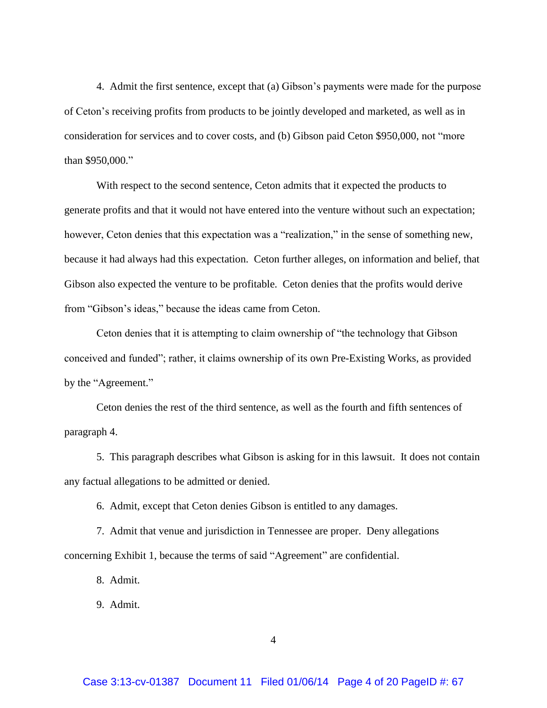4. Admit the first sentence, except that (a) Gibson's payments were made for the purpose of Ceton's receiving profits from products to be jointly developed and marketed, as well as in consideration for services and to cover costs, and (b) Gibson paid Ceton \$950,000, not "more than \$950,000."

With respect to the second sentence, Ceton admits that it expected the products to generate profits and that it would not have entered into the venture without such an expectation; however, Ceton denies that this expectation was a "realization," in the sense of something new, because it had always had this expectation. Ceton further alleges, on information and belief, that Gibson also expected the venture to be profitable. Ceton denies that the profits would derive from "Gibson's ideas," because the ideas came from Ceton.

Ceton denies that it is attempting to claim ownership of "the technology that Gibson conceived and funded"; rather, it claims ownership of its own Pre-Existing Works, as provided by the "Agreement."

Ceton denies the rest of the third sentence, as well as the fourth and fifth sentences of paragraph 4.

5. This paragraph describes what Gibson is asking for in this lawsuit. It does not contain any factual allegations to be admitted or denied.

6. Admit, except that Ceton denies Gibson is entitled to any damages.

7. Admit that venue and jurisdiction in Tennessee are proper. Deny allegations concerning Exhibit 1, because the terms of said "Agreement" are confidential.

8. Admit.

9. Admit.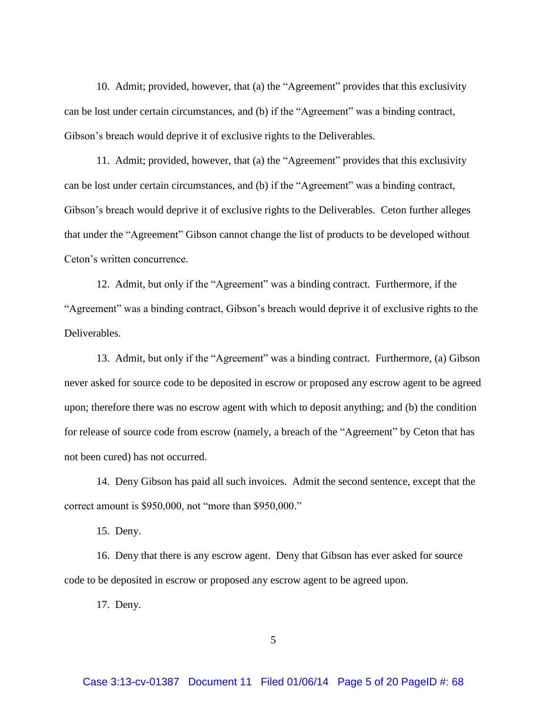10. Admit; provided, however, that (a) the "Agreement" provides that this exclusivity can be lost under certain circumstances, and (b) if the "Agreement" was a binding contract, Gibson's breach would deprive it of exclusive rights to the Deliverables.

11. Admit; provided, however, that (a) the "Agreement" provides that this exclusivity can be lost under certain circumstances, and (b) if the "Agreement" was a binding contract, Gibson's breach would deprive it of exclusive rights to the Deliverables. Ceton further alleges that under the "Agreement" Gibson cannot change the list of products to be developed without Ceton's written concurrence.

12. Admit, but only if the "Agreement" was a binding contract. Furthermore, if the "Agreement" was a binding contract, Gibson's breach would deprive it of exclusive rights to the Deliverables.

13. Admit, but only if the "Agreement" was a binding contract. Furthermore, (a) Gibson never asked for source code to be deposited in escrow or proposed any escrow agent to be agreed upon; therefore there was no escrow agent with which to deposit anything; and (b) the condition for release of source code from escrow (namely, a breach of the "Agreement" by Ceton that has not been cured) has not occurred.

14. Deny Gibson has paid all such invoices. Admit the second sentence, except that the correct amount is \$950,000, not "more than \$950,000."

15. Deny.

16. Deny that there is any escrow agent. Deny that Gibson has ever asked for source code to be deposited in escrow or proposed any escrow agent to be agreed upon.

17. Deny.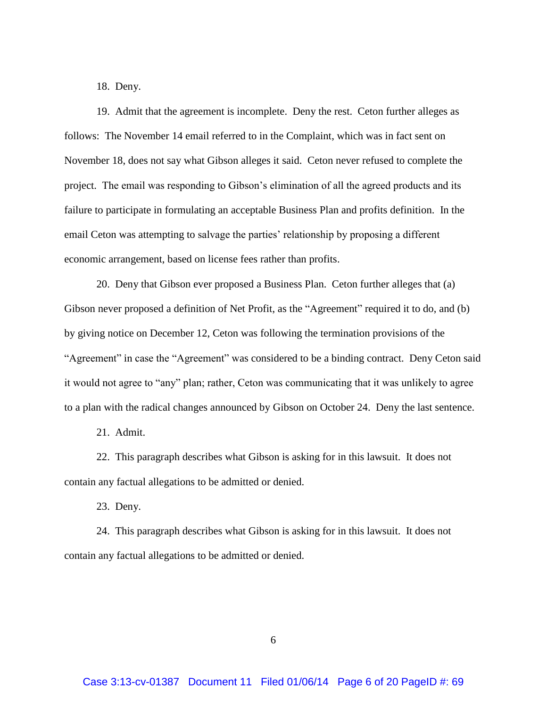18. Deny.

19. Admit that the agreement is incomplete. Deny the rest. Ceton further alleges as follows: The November 14 email referred to in the Complaint, which was in fact sent on November 18, does not say what Gibson alleges it said. Ceton never refused to complete the project. The email was responding to Gibson's elimination of all the agreed products and its failure to participate in formulating an acceptable Business Plan and profits definition. In the email Ceton was attempting to salvage the parties' relationship by proposing a different economic arrangement, based on license fees rather than profits.

20. Deny that Gibson ever proposed a Business Plan. Ceton further alleges that (a) Gibson never proposed a definition of Net Profit, as the "Agreement" required it to do, and (b) by giving notice on December 12, Ceton was following the termination provisions of the "Agreement" in case the "Agreement" was considered to be a binding contract. Deny Ceton said it would not agree to "any" plan; rather, Ceton was communicating that it was unlikely to agree to a plan with the radical changes announced by Gibson on October 24. Deny the last sentence.

21. Admit.

22. This paragraph describes what Gibson is asking for in this lawsuit. It does not contain any factual allegations to be admitted or denied.

23. Deny.

24. This paragraph describes what Gibson is asking for in this lawsuit. It does not contain any factual allegations to be admitted or denied.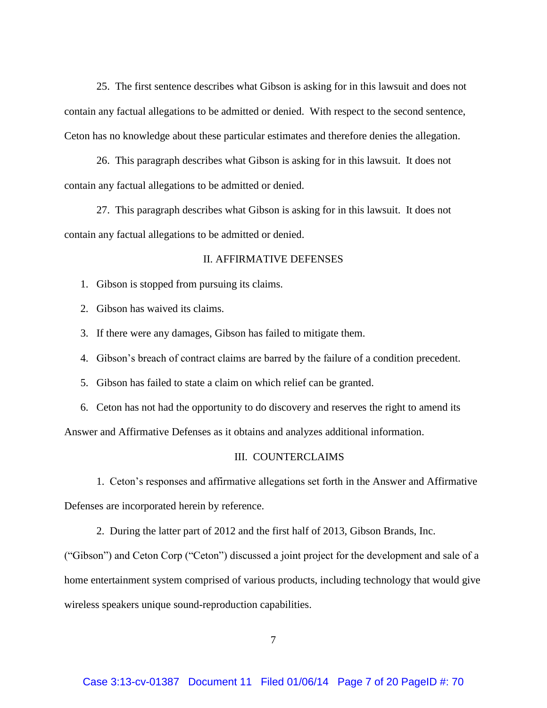25. The first sentence describes what Gibson is asking for in this lawsuit and does not contain any factual allegations to be admitted or denied. With respect to the second sentence, Ceton has no knowledge about these particular estimates and therefore denies the allegation.

26. This paragraph describes what Gibson is asking for in this lawsuit. It does not contain any factual allegations to be admitted or denied.

27. This paragraph describes what Gibson is asking for in this lawsuit. It does not contain any factual allegations to be admitted or denied.

#### II. AFFIRMATIVE DEFENSES

- 1. Gibson is stopped from pursuing its claims.
- 2. Gibson has waived its claims.
- 3. If there were any damages, Gibson has failed to mitigate them.
- 4. Gibson's breach of contract claims are barred by the failure of a condition precedent.
- 5. Gibson has failed to state a claim on which relief can be granted.
- 6. Ceton has not had the opportunity to do discovery and reserves the right to amend its

Answer and Affirmative Defenses as it obtains and analyzes additional information.

#### III. COUNTERCLAIMS

1. Ceton's responses and affirmative allegations set forth in the Answer and Affirmative Defenses are incorporated herein by reference.

2. During the latter part of 2012 and the first half of 2013, Gibson Brands, Inc.

("Gibson") and Ceton Corp ("Ceton") discussed a joint project for the development and sale of a home entertainment system comprised of various products, including technology that would give wireless speakers unique sound-reproduction capabilities.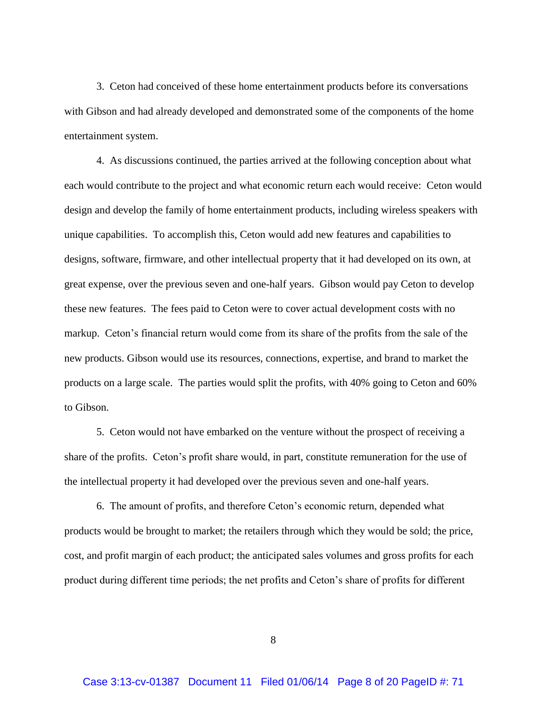3. Ceton had conceived of these home entertainment products before its conversations with Gibson and had already developed and demonstrated some of the components of the home entertainment system.

4. As discussions continued, the parties arrived at the following conception about what each would contribute to the project and what economic return each would receive: Ceton would design and develop the family of home entertainment products, including wireless speakers with unique capabilities. To accomplish this, Ceton would add new features and capabilities to designs, software, firmware, and other intellectual property that it had developed on its own, at great expense, over the previous seven and one-half years. Gibson would pay Ceton to develop these new features. The fees paid to Ceton were to cover actual development costs with no markup. Ceton's financial return would come from its share of the profits from the sale of the new products. Gibson would use its resources, connections, expertise, and brand to market the products on a large scale. The parties would split the profits, with 40% going to Ceton and 60% to Gibson.

5. Ceton would not have embarked on the venture without the prospect of receiving a share of the profits. Ceton's profit share would, in part, constitute remuneration for the use of the intellectual property it had developed over the previous seven and one-half years.

6. The amount of profits, and therefore Ceton's economic return, depended what products would be brought to market; the retailers through which they would be sold; the price, cost, and profit margin of each product; the anticipated sales volumes and gross profits for each product during different time periods; the net profits and Ceton's share of profits for different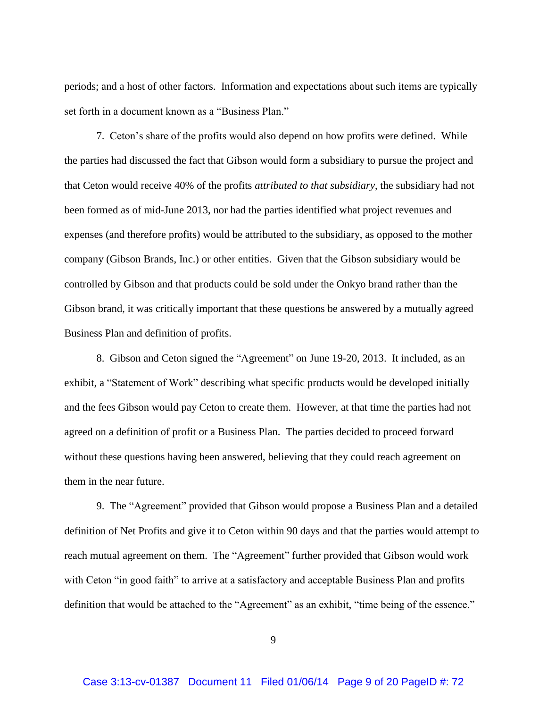periods; and a host of other factors. Information and expectations about such items are typically set forth in a document known as a "Business Plan."

7. Ceton's share of the profits would also depend on how profits were defined. While the parties had discussed the fact that Gibson would form a subsidiary to pursue the project and that Ceton would receive 40% of the profits *attributed to that subsidiary*, the subsidiary had not been formed as of mid-June 2013, nor had the parties identified what project revenues and expenses (and therefore profits) would be attributed to the subsidiary, as opposed to the mother company (Gibson Brands, Inc.) or other entities. Given that the Gibson subsidiary would be controlled by Gibson and that products could be sold under the Onkyo brand rather than the Gibson brand, it was critically important that these questions be answered by a mutually agreed Business Plan and definition of profits.

8. Gibson and Ceton signed the "Agreement" on June 19-20, 2013. It included, as an exhibit, a "Statement of Work" describing what specific products would be developed initially and the fees Gibson would pay Ceton to create them. However, at that time the parties had not agreed on a definition of profit or a Business Plan. The parties decided to proceed forward without these questions having been answered, believing that they could reach agreement on them in the near future.

9. The "Agreement" provided that Gibson would propose a Business Plan and a detailed definition of Net Profits and give it to Ceton within 90 days and that the parties would attempt to reach mutual agreement on them. The "Agreement" further provided that Gibson would work with Ceton "in good faith" to arrive at a satisfactory and acceptable Business Plan and profits definition that would be attached to the "Agreement" as an exhibit, "time being of the essence."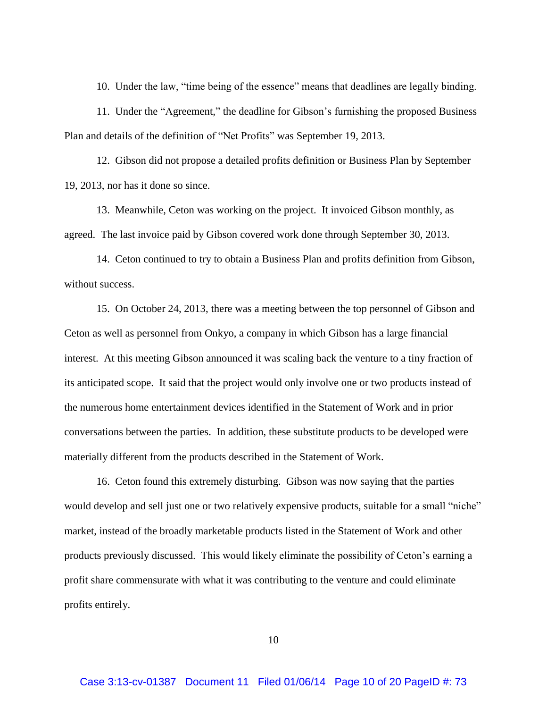10. Under the law, "time being of the essence" means that deadlines are legally binding.

11. Under the "Agreement," the deadline for Gibson's furnishing the proposed Business Plan and details of the definition of "Net Profits" was September 19, 2013.

12. Gibson did not propose a detailed profits definition or Business Plan by September 19, 2013, nor has it done so since.

13. Meanwhile, Ceton was working on the project. It invoiced Gibson monthly, as agreed. The last invoice paid by Gibson covered work done through September 30, 2013.

14. Ceton continued to try to obtain a Business Plan and profits definition from Gibson, without success.

15. On October 24, 2013, there was a meeting between the top personnel of Gibson and Ceton as well as personnel from Onkyo, a company in which Gibson has a large financial interest. At this meeting Gibson announced it was scaling back the venture to a tiny fraction of its anticipated scope. It said that the project would only involve one or two products instead of the numerous home entertainment devices identified in the Statement of Work and in prior conversations between the parties. In addition, these substitute products to be developed were materially different from the products described in the Statement of Work.

16. Ceton found this extremely disturbing. Gibson was now saying that the parties would develop and sell just one or two relatively expensive products, suitable for a small "niche" market, instead of the broadly marketable products listed in the Statement of Work and other products previously discussed. This would likely eliminate the possibility of Ceton's earning a profit share commensurate with what it was contributing to the venture and could eliminate profits entirely.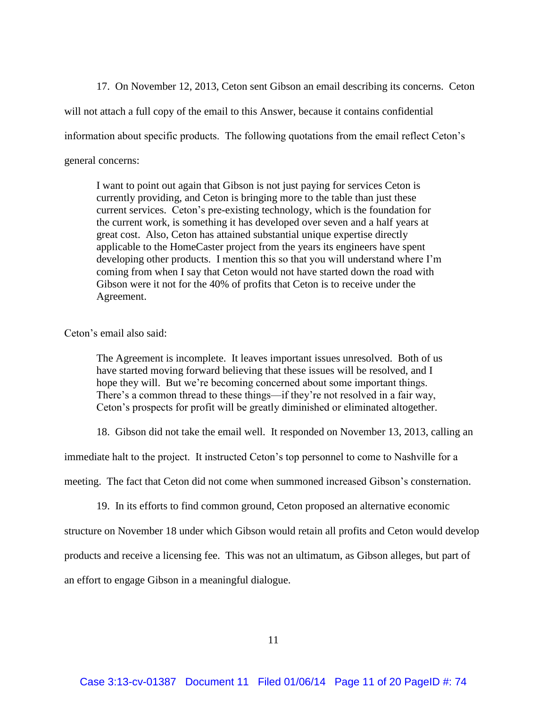17. On November 12, 2013, Ceton sent Gibson an email describing its concerns. Ceton

will not attach a full copy of the email to this Answer, because it contains confidential

information about specific products. The following quotations from the email reflect Ceton's

general concerns:

I want to point out again that Gibson is not just paying for services Ceton is currently providing, and Ceton is bringing more to the table than just these current services. Ceton's pre-existing technology, which is the foundation for the current work, is something it has developed over seven and a half years at great cost. Also, Ceton has attained substantial unique expertise directly applicable to the HomeCaster project from the years its engineers have spent developing other products. I mention this so that you will understand where I'm coming from when I say that Ceton would not have started down the road with Gibson were it not for the 40% of profits that Ceton is to receive under the Agreement.

Ceton's email also said:

The Agreement is incomplete. It leaves important issues unresolved. Both of us have started moving forward believing that these issues will be resolved, and I hope they will. But we're becoming concerned about some important things. There's a common thread to these things—if they're not resolved in a fair way, Ceton's prospects for profit will be greatly diminished or eliminated altogether.

18. Gibson did not take the email well. It responded on November 13, 2013, calling an

immediate halt to the project. It instructed Ceton's top personnel to come to Nashville for a

meeting. The fact that Ceton did not come when summoned increased Gibson's consternation.

19. In its efforts to find common ground, Ceton proposed an alternative economic

structure on November 18 under which Gibson would retain all profits and Ceton would develop

products and receive a licensing fee. This was not an ultimatum, as Gibson alleges, but part of

an effort to engage Gibson in a meaningful dialogue.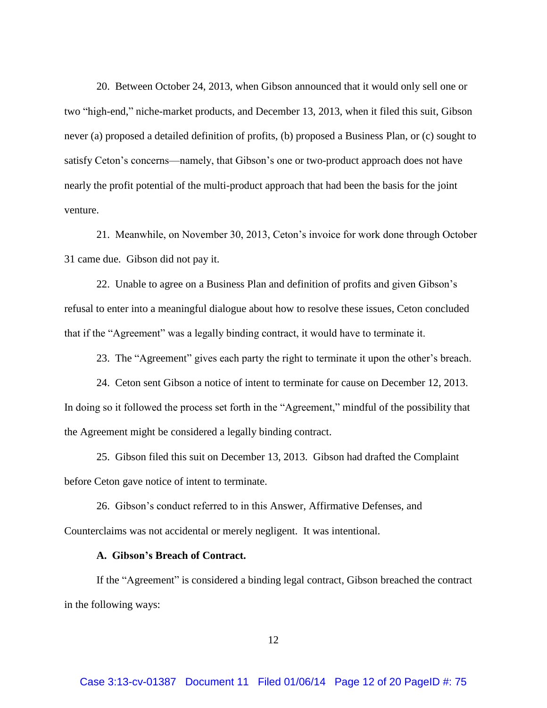20. Between October 24, 2013, when Gibson announced that it would only sell one or two "high-end," niche-market products, and December 13, 2013, when it filed this suit, Gibson never (a) proposed a detailed definition of profits, (b) proposed a Business Plan, or (c) sought to satisfy Ceton's concerns—namely, that Gibson's one or two-product approach does not have nearly the profit potential of the multi-product approach that had been the basis for the joint venture.

21. Meanwhile, on November 30, 2013, Ceton's invoice for work done through October 31 came due. Gibson did not pay it.

22. Unable to agree on a Business Plan and definition of profits and given Gibson's refusal to enter into a meaningful dialogue about how to resolve these issues, Ceton concluded that if the "Agreement" was a legally binding contract, it would have to terminate it.

23. The "Agreement" gives each party the right to terminate it upon the other's breach.

24. Ceton sent Gibson a notice of intent to terminate for cause on December 12, 2013. In doing so it followed the process set forth in the "Agreement," mindful of the possibility that the Agreement might be considered a legally binding contract.

25. Gibson filed this suit on December 13, 2013. Gibson had drafted the Complaint before Ceton gave notice of intent to terminate.

26. Gibson's conduct referred to in this Answer, Affirmative Defenses, and Counterclaims was not accidental or merely negligent. It was intentional.

### **A. Gibson's Breach of Contract.**

If the "Agreement" is considered a binding legal contract, Gibson breached the contract in the following ways: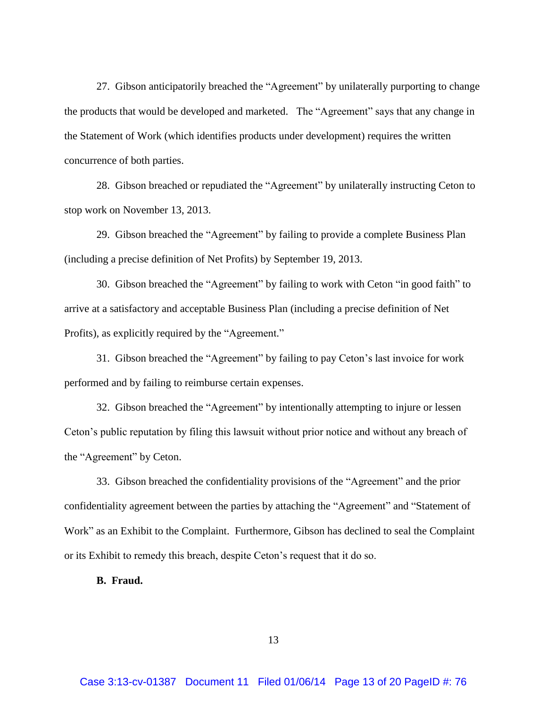27. Gibson anticipatorily breached the "Agreement" by unilaterally purporting to change the products that would be developed and marketed. The "Agreement" says that any change in the Statement of Work (which identifies products under development) requires the written concurrence of both parties.

28. Gibson breached or repudiated the "Agreement" by unilaterally instructing Ceton to stop work on November 13, 2013.

29. Gibson breached the "Agreement" by failing to provide a complete Business Plan (including a precise definition of Net Profits) by September 19, 2013.

30. Gibson breached the "Agreement" by failing to work with Ceton "in good faith" to arrive at a satisfactory and acceptable Business Plan (including a precise definition of Net Profits), as explicitly required by the "Agreement."

31. Gibson breached the "Agreement" by failing to pay Ceton's last invoice for work performed and by failing to reimburse certain expenses.

32. Gibson breached the "Agreement" by intentionally attempting to injure or lessen Ceton's public reputation by filing this lawsuit without prior notice and without any breach of the "Agreement" by Ceton.

33. Gibson breached the confidentiality provisions of the "Agreement" and the prior confidentiality agreement between the parties by attaching the "Agreement" and "Statement of Work" as an Exhibit to the Complaint. Furthermore, Gibson has declined to seal the Complaint or its Exhibit to remedy this breach, despite Ceton's request that it do so.

**B. Fraud.**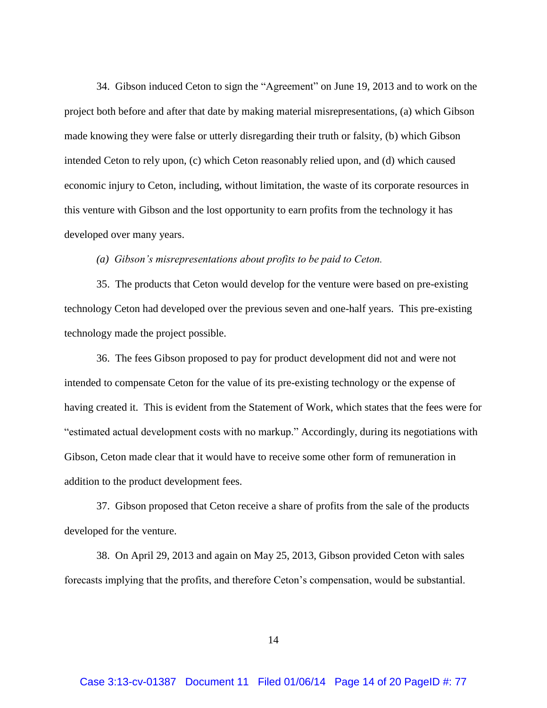34. Gibson induced Ceton to sign the "Agreement" on June 19, 2013 and to work on the project both before and after that date by making material misrepresentations, (a) which Gibson made knowing they were false or utterly disregarding their truth or falsity, (b) which Gibson intended Ceton to rely upon, (c) which Ceton reasonably relied upon, and (d) which caused economic injury to Ceton, including, without limitation, the waste of its corporate resources in this venture with Gibson and the lost opportunity to earn profits from the technology it has developed over many years.

#### *(a) Gibson's misrepresentations about profits to be paid to Ceton.*

35. The products that Ceton would develop for the venture were based on pre-existing technology Ceton had developed over the previous seven and one-half years. This pre-existing technology made the project possible.

36. The fees Gibson proposed to pay for product development did not and were not intended to compensate Ceton for the value of its pre-existing technology or the expense of having created it. This is evident from the Statement of Work, which states that the fees were for "estimated actual development costs with no markup." Accordingly, during its negotiations with Gibson, Ceton made clear that it would have to receive some other form of remuneration in addition to the product development fees.

37. Gibson proposed that Ceton receive a share of profits from the sale of the products developed for the venture.

38. On April 29, 2013 and again on May 25, 2013, Gibson provided Ceton with sales forecasts implying that the profits, and therefore Ceton's compensation, would be substantial.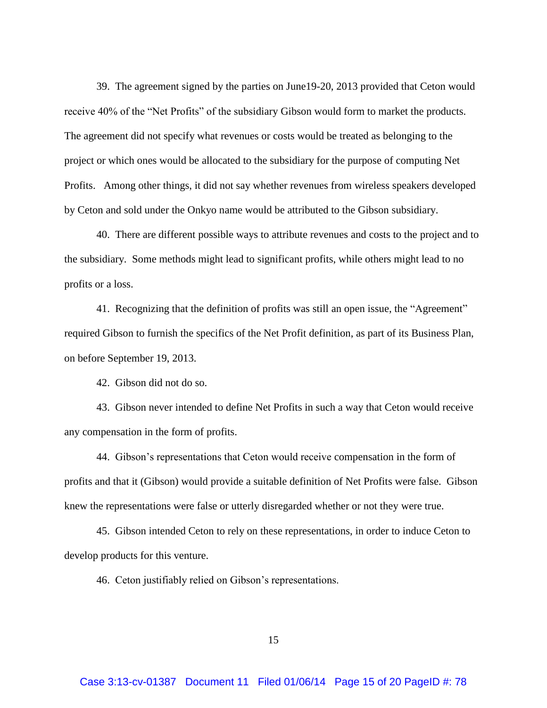39. The agreement signed by the parties on June19-20, 2013 provided that Ceton would receive 40% of the "Net Profits" of the subsidiary Gibson would form to market the products. The agreement did not specify what revenues or costs would be treated as belonging to the project or which ones would be allocated to the subsidiary for the purpose of computing Net Profits. Among other things, it did not say whether revenues from wireless speakers developed by Ceton and sold under the Onkyo name would be attributed to the Gibson subsidiary.

40. There are different possible ways to attribute revenues and costs to the project and to the subsidiary. Some methods might lead to significant profits, while others might lead to no profits or a loss.

41. Recognizing that the definition of profits was still an open issue, the "Agreement" required Gibson to furnish the specifics of the Net Profit definition, as part of its Business Plan, on before September 19, 2013.

42. Gibson did not do so.

43. Gibson never intended to define Net Profits in such a way that Ceton would receive any compensation in the form of profits.

44. Gibson's representations that Ceton would receive compensation in the form of profits and that it (Gibson) would provide a suitable definition of Net Profits were false. Gibson knew the representations were false or utterly disregarded whether or not they were true.

45. Gibson intended Ceton to rely on these representations, in order to induce Ceton to develop products for this venture.

46. Ceton justifiably relied on Gibson's representations.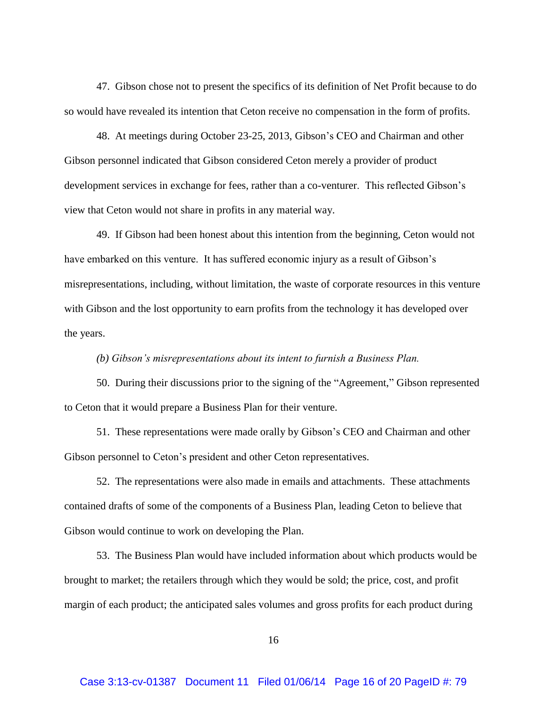47. Gibson chose not to present the specifics of its definition of Net Profit because to do so would have revealed its intention that Ceton receive no compensation in the form of profits.

48. At meetings during October 23-25, 2013, Gibson's CEO and Chairman and other Gibson personnel indicated that Gibson considered Ceton merely a provider of product development services in exchange for fees, rather than a co-venturer. This reflected Gibson's view that Ceton would not share in profits in any material way.

49. If Gibson had been honest about this intention from the beginning, Ceton would not have embarked on this venture. It has suffered economic injury as a result of Gibson's misrepresentations, including, without limitation, the waste of corporate resources in this venture with Gibson and the lost opportunity to earn profits from the technology it has developed over the years.

### *(b) Gibson's misrepresentations about its intent to furnish a Business Plan.*

50. During their discussions prior to the signing of the "Agreement," Gibson represented to Ceton that it would prepare a Business Plan for their venture.

51. These representations were made orally by Gibson's CEO and Chairman and other Gibson personnel to Ceton's president and other Ceton representatives.

52. The representations were also made in emails and attachments. These attachments contained drafts of some of the components of a Business Plan, leading Ceton to believe that Gibson would continue to work on developing the Plan.

53. The Business Plan would have included information about which products would be brought to market; the retailers through which they would be sold; the price, cost, and profit margin of each product; the anticipated sales volumes and gross profits for each product during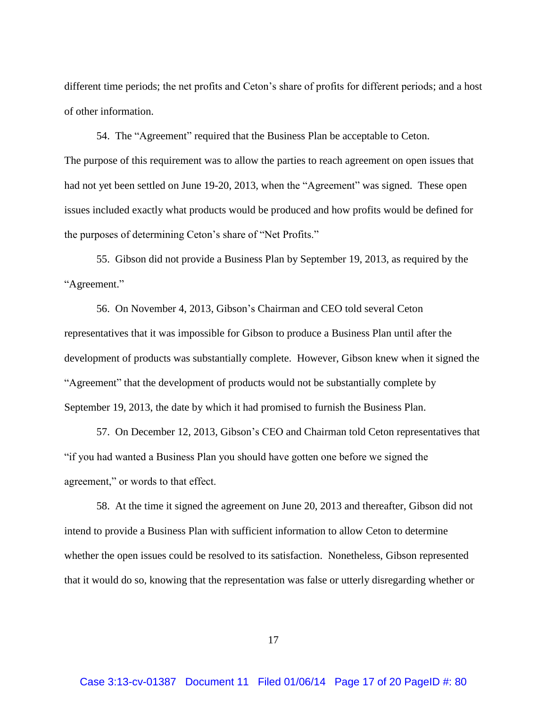different time periods; the net profits and Ceton's share of profits for different periods; and a host of other information.

54. The "Agreement" required that the Business Plan be acceptable to Ceton. The purpose of this requirement was to allow the parties to reach agreement on open issues that had not yet been settled on June 19-20, 2013, when the "Agreement" was signed. These open issues included exactly what products would be produced and how profits would be defined for the purposes of determining Ceton's share of "Net Profits."

55. Gibson did not provide a Business Plan by September 19, 2013, as required by the "Agreement."

56. On November 4, 2013, Gibson's Chairman and CEO told several Ceton representatives that it was impossible for Gibson to produce a Business Plan until after the development of products was substantially complete. However, Gibson knew when it signed the "Agreement" that the development of products would not be substantially complete by September 19, 2013, the date by which it had promised to furnish the Business Plan.

57. On December 12, 2013, Gibson's CEO and Chairman told Ceton representatives that "if you had wanted a Business Plan you should have gotten one before we signed the agreement," or words to that effect.

58. At the time it signed the agreement on June 20, 2013 and thereafter, Gibson did not intend to provide a Business Plan with sufficient information to allow Ceton to determine whether the open issues could be resolved to its satisfaction. Nonetheless, Gibson represented that it would do so, knowing that the representation was false or utterly disregarding whether or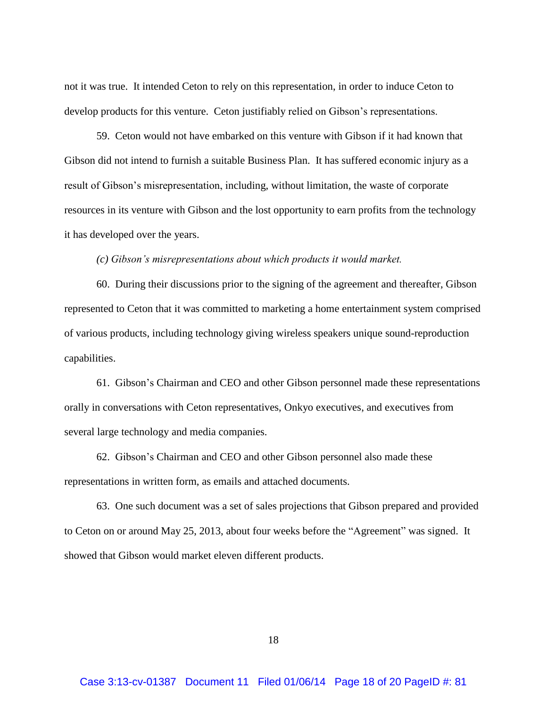not it was true. It intended Ceton to rely on this representation, in order to induce Ceton to develop products for this venture. Ceton justifiably relied on Gibson's representations.

59. Ceton would not have embarked on this venture with Gibson if it had known that Gibson did not intend to furnish a suitable Business Plan. It has suffered economic injury as a result of Gibson's misrepresentation, including, without limitation, the waste of corporate resources in its venture with Gibson and the lost opportunity to earn profits from the technology it has developed over the years.

*(c) Gibson's misrepresentations about which products it would market.*

60. During their discussions prior to the signing of the agreement and thereafter, Gibson represented to Ceton that it was committed to marketing a home entertainment system comprised of various products, including technology giving wireless speakers unique sound-reproduction capabilities.

61. Gibson's Chairman and CEO and other Gibson personnel made these representations orally in conversations with Ceton representatives, Onkyo executives, and executives from several large technology and media companies.

62. Gibson's Chairman and CEO and other Gibson personnel also made these representations in written form, as emails and attached documents.

63. One such document was a set of sales projections that Gibson prepared and provided to Ceton on or around May 25, 2013, about four weeks before the "Agreement" was signed. It showed that Gibson would market eleven different products.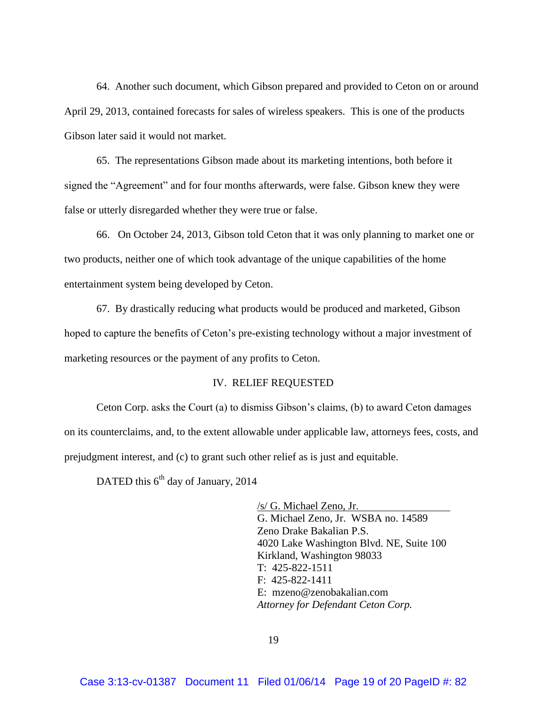64. Another such document, which Gibson prepared and provided to Ceton on or around April 29, 2013, contained forecasts for sales of wireless speakers. This is one of the products Gibson later said it would not market.

65. The representations Gibson made about its marketing intentions, both before it signed the "Agreement" and for four months afterwards, were false. Gibson knew they were false or utterly disregarded whether they were true or false.

66. On October 24, 2013, Gibson told Ceton that it was only planning to market one or two products, neither one of which took advantage of the unique capabilities of the home entertainment system being developed by Ceton.

67. By drastically reducing what products would be produced and marketed, Gibson hoped to capture the benefits of Ceton's pre-existing technology without a major investment of marketing resources or the payment of any profits to Ceton.

### IV. RELIEF REQUESTED

Ceton Corp. asks the Court (a) to dismiss Gibson's claims, (b) to award Ceton damages on its counterclaims, and, to the extent allowable under applicable law, attorneys fees, costs, and prejudgment interest, and (c) to grant such other relief as is just and equitable.

DATED this  $6^{th}$  day of January, 2014

/s/ G. Michael Zeno, Jr. G. Michael Zeno, Jr. WSBA no. 14589 Zeno Drake Bakalian P.S. 4020 Lake Washington Blvd. NE, Suite 100 Kirkland, Washington 98033 T: 425-822-1511 F: 425-822-1411 E: mzeno@zenobakalian.com *Attorney for Defendant Ceton Corp.*